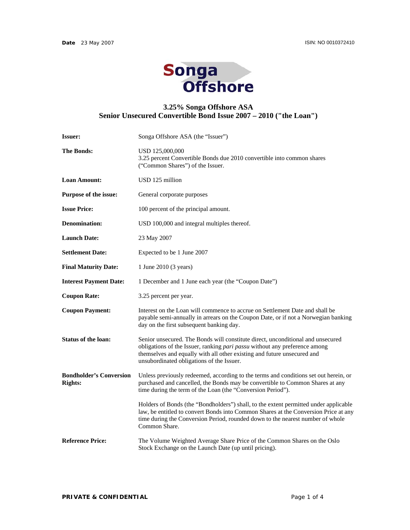

## **3.25% Songa Offshore ASA Senior Unsecured Convertible Bond Issue 2007 – 2010 ("the Loan")**

| <b>Issuer:</b>                                   | Songa Offshore ASA (the "Issuer")                                                                                                                                                                                                                                                     |  |
|--------------------------------------------------|---------------------------------------------------------------------------------------------------------------------------------------------------------------------------------------------------------------------------------------------------------------------------------------|--|
| <b>The Bonds:</b>                                | USD 125,000,000<br>3.25 percent Convertible Bonds due 2010 convertible into common shares<br>("Common Shares") of the Issuer.                                                                                                                                                         |  |
| <b>Loan Amount:</b>                              | USD 125 million                                                                                                                                                                                                                                                                       |  |
| Purpose of the issue:                            | General corporate purposes                                                                                                                                                                                                                                                            |  |
| <b>Issue Price:</b>                              | 100 percent of the principal amount.                                                                                                                                                                                                                                                  |  |
| <b>Denomination:</b>                             | USD 100,000 and integral multiples thereof.                                                                                                                                                                                                                                           |  |
| <b>Launch Date:</b>                              | 23 May 2007                                                                                                                                                                                                                                                                           |  |
| <b>Settlement Date:</b>                          | Expected to be 1 June 2007                                                                                                                                                                                                                                                            |  |
| <b>Final Maturity Date:</b>                      | 1 June 2010 (3 years)                                                                                                                                                                                                                                                                 |  |
| <b>Interest Payment Date:</b>                    | 1 December and 1 June each year (the "Coupon Date")                                                                                                                                                                                                                                   |  |
| <b>Coupon Rate:</b>                              | 3.25 percent per year.                                                                                                                                                                                                                                                                |  |
| <b>Coupon Payment:</b>                           | Interest on the Loan will commence to accrue on Settlement Date and shall be<br>payable semi-annually in arrears on the Coupon Date, or if not a Norwegian banking<br>day on the first subsequent banking day.                                                                        |  |
| <b>Status of the loan:</b>                       | Senior unsecured. The Bonds will constitute direct, unconditional and unsecured<br>obligations of the Issuer, ranking pari passu without any preference among<br>themselves and equally with all other existing and future unsecured and<br>unsubordinated obligations of the Issuer. |  |
| <b>Bondholder's Conversion</b><br><b>Rights:</b> | Unless previously redeemed, according to the terms and conditions set out herein, or<br>purchased and cancelled, the Bonds may be convertible to Common Shares at any<br>time during the term of the Loan (the "Conversion Period").                                                  |  |
|                                                  | Holders of Bonds (the "Bondholders") shall, to the extent permitted under applicable<br>law, be entitled to convert Bonds into Common Shares at the Conversion Price at any<br>time during the Conversion Period, rounded down to the nearest number of whole<br>Common Share.        |  |
| <b>Reference Price:</b>                          | The Volume Weighted Average Share Price of the Common Shares on the Oslo<br>Stock Exchange on the Launch Date (up until pricing).                                                                                                                                                     |  |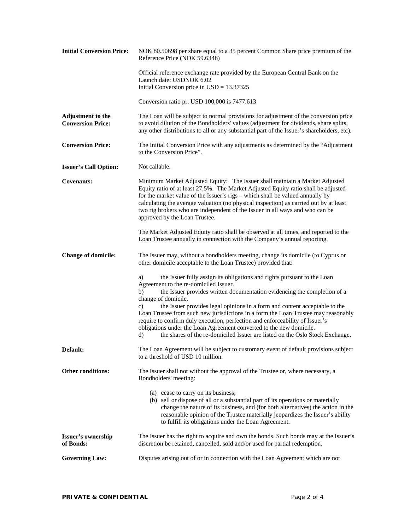| <b>Initial Conversion Price:</b>                     | NOK 80.50698 per share equal to a 35 percent Common Share price premium of the<br>Reference Price (NOK 59.6348)                                                                                                                                                                                                                                                                                                                                                                                                                                                                                                                                        |  |
|------------------------------------------------------|--------------------------------------------------------------------------------------------------------------------------------------------------------------------------------------------------------------------------------------------------------------------------------------------------------------------------------------------------------------------------------------------------------------------------------------------------------------------------------------------------------------------------------------------------------------------------------------------------------------------------------------------------------|--|
|                                                      | Official reference exchange rate provided by the European Central Bank on the<br>Launch date: USDNOK 6.02<br>Initial Conversion price in $USD = 13.37325$                                                                                                                                                                                                                                                                                                                                                                                                                                                                                              |  |
|                                                      | Conversion ratio pr. USD 100,000 is 7477.613                                                                                                                                                                                                                                                                                                                                                                                                                                                                                                                                                                                                           |  |
| <b>Adjustment to the</b><br><b>Conversion Price:</b> | The Loan will be subject to normal provisions for adjustment of the conversion price<br>to avoid dilution of the Bondholders' values (adjustment for dividends, share splits,<br>any other distributions to all or any substantial part of the Issuer's shareholders, etc).                                                                                                                                                                                                                                                                                                                                                                            |  |
| <b>Conversion Price:</b>                             | The Initial Conversion Price with any adjustments as determined by the "Adjustment"<br>to the Conversion Price".                                                                                                                                                                                                                                                                                                                                                                                                                                                                                                                                       |  |
| <b>Issuer's Call Option:</b>                         | Not callable.                                                                                                                                                                                                                                                                                                                                                                                                                                                                                                                                                                                                                                          |  |
| <b>Covenants:</b>                                    | Minimum Market Adjusted Equity: The Issuer shall maintain a Market Adjusted<br>Equity ratio of at least 27,5%. The Market Adjusted Equity ratio shall be adjusted<br>for the market value of the Issuer's rigs - which shall be valued annually by<br>calculating the average valuation (no physical inspection) as carried out by at least<br>two rig brokers who are independent of the Issuer in all ways and who can be<br>approved by the Loan Trustee.                                                                                                                                                                                           |  |
|                                                      | The Market Adjusted Equity ratio shall be observed at all times, and reported to the<br>Loan Trustee annually in connection with the Company's annual reporting.                                                                                                                                                                                                                                                                                                                                                                                                                                                                                       |  |
| <b>Change of domicile:</b>                           | The Issuer may, without a bondholders meeting, change its domicile (to Cyprus or<br>other domicile acceptable to the Loan Trustee) provided that:                                                                                                                                                                                                                                                                                                                                                                                                                                                                                                      |  |
|                                                      | the Issuer fully assign its obligations and rights pursuant to the Loan<br>a)<br>Agreement to the re-domiciled Issuer.<br>the Issuer provides written documentation evidencing the completion of a<br>b)<br>change of domicile.<br>the Issuer provides legal opinions in a form and content acceptable to the<br>c)<br>Loan Trustee from such new jurisdictions in a form the Loan Trustee may reasonably<br>require to confirm duly execution, perfection and enforceability of Issuer's<br>obligations under the Loan Agreement converted to the new domicile.<br>the shares of the re-domiciled Issuer are listed on the Oslo Stock Exchange.<br>d) |  |
| Default:                                             | The Loan Agreement will be subject to customary event of default provisions subject<br>to a threshold of USD 10 million.                                                                                                                                                                                                                                                                                                                                                                                                                                                                                                                               |  |
| Other conditions:                                    | The Issuer shall not without the approval of the Trustee or, where necessary, a<br>Bondholders' meeting:                                                                                                                                                                                                                                                                                                                                                                                                                                                                                                                                               |  |
|                                                      | (a) cease to carry on its business;<br>(b) sell or dispose of all or a substantial part of its operations or materially<br>change the nature of its business, and (for both alternatives) the action in the<br>reasonable opinion of the Trustee materially jeopardizes the Issuer's ability<br>to fulfill its obligations under the Loan Agreement.                                                                                                                                                                                                                                                                                                   |  |
| Issuer's ownership<br>of Bonds:                      | The Issuer has the right to acquire and own the bonds. Such bonds may at the Issuer's<br>discretion be retained, cancelled, sold and/or used for partial redemption.                                                                                                                                                                                                                                                                                                                                                                                                                                                                                   |  |
| <b>Governing Law:</b>                                | Disputes arising out of or in connection with the Loan Agreement which are not                                                                                                                                                                                                                                                                                                                                                                                                                                                                                                                                                                         |  |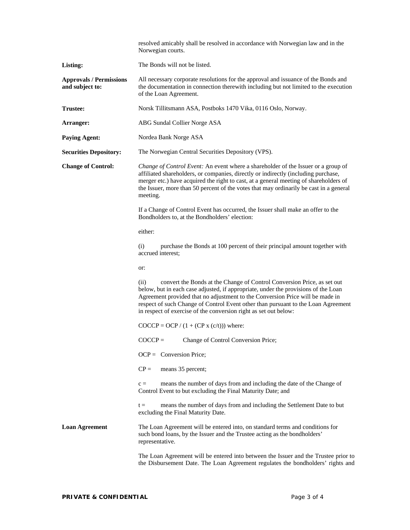|                                                   | resolved amicably shall be resolved in accordance with Norwegian law and in the<br>Norwegian courts.                                                                                                                                                                                                                                                                                                                   |  |  |  |
|---------------------------------------------------|------------------------------------------------------------------------------------------------------------------------------------------------------------------------------------------------------------------------------------------------------------------------------------------------------------------------------------------------------------------------------------------------------------------------|--|--|--|
| Listing:                                          | The Bonds will not be listed.                                                                                                                                                                                                                                                                                                                                                                                          |  |  |  |
| <b>Approvals / Permissions</b><br>and subject to: | All necessary corporate resolutions for the approval and issuance of the Bonds and<br>the documentation in connection therewith including but not limited to the execution<br>of the Loan Agreement.                                                                                                                                                                                                                   |  |  |  |
| <b>Trustee:</b>                                   | Norsk Tillitsmann ASA, Postboks 1470 Vika, 0116 Oslo, Norway.                                                                                                                                                                                                                                                                                                                                                          |  |  |  |
| Arranger:                                         | ABG Sundal Collier Norge ASA                                                                                                                                                                                                                                                                                                                                                                                           |  |  |  |
| <b>Paying Agent:</b>                              | Nordea Bank Norge ASA                                                                                                                                                                                                                                                                                                                                                                                                  |  |  |  |
| <b>Securities Depository:</b>                     | The Norwegian Central Securities Depository (VPS).                                                                                                                                                                                                                                                                                                                                                                     |  |  |  |
| <b>Change of Control:</b>                         | Change of Control Event: An event where a shareholder of the Issuer or a group of<br>affiliated shareholders, or companies, directly or indirectly (including purchase,<br>merger etc.) have acquired the right to cast, at a general meeting of shareholders of<br>the Issuer, more than 50 percent of the votes that may ordinarily be cast in a general<br>meeting.                                                 |  |  |  |
|                                                   | If a Change of Control Event has occurred, the Issuer shall make an offer to the<br>Bondholders to, at the Bondholders' election:<br>either:                                                                                                                                                                                                                                                                           |  |  |  |
|                                                   |                                                                                                                                                                                                                                                                                                                                                                                                                        |  |  |  |
|                                                   | (i)<br>purchase the Bonds at 100 percent of their principal amount together with<br>accrued interest:                                                                                                                                                                                                                                                                                                                  |  |  |  |
|                                                   | or:<br>convert the Bonds at the Change of Control Conversion Price, as set out<br>(ii)<br>below, but in each case adjusted, if appropriate, under the provisions of the Loan<br>Agreement provided that no adjustment to the Conversion Price will be made in<br>respect of such Change of Control Event other than pursuant to the Loan Agreement<br>in respect of exercise of the conversion right as set out below: |  |  |  |
|                                                   |                                                                                                                                                                                                                                                                                                                                                                                                                        |  |  |  |
|                                                   | $\text{COCCP} = \text{OCP} / (1 + (\text{CP} \times (c/t)))$ where:                                                                                                                                                                                                                                                                                                                                                    |  |  |  |
|                                                   | $COCCP =$<br>Change of Control Conversion Price;                                                                                                                                                                                                                                                                                                                                                                       |  |  |  |
|                                                   | $OCP =$ Conversion Price;                                                                                                                                                                                                                                                                                                                                                                                              |  |  |  |
|                                                   | $CP =$<br>means 35 percent;                                                                                                                                                                                                                                                                                                                                                                                            |  |  |  |
|                                                   | means the number of days from and including the date of the Change of<br>$c =$<br>Control Event to but excluding the Final Maturity Date; and                                                                                                                                                                                                                                                                          |  |  |  |
|                                                   | means the number of days from and including the Settlement Date to but<br>$t =$<br>excluding the Final Maturity Date.                                                                                                                                                                                                                                                                                                  |  |  |  |
| <b>Loan Agreement</b>                             | The Loan Agreement will be entered into, on standard terms and conditions for<br>such bond loans, by the Issuer and the Trustee acting as the bondholders'<br>representative.                                                                                                                                                                                                                                          |  |  |  |
|                                                   | The Loan Agreement will be entered into between the Issuer and the Trustee prior to<br>the Disbursement Date. The Loan Agreement regulates the bondholders' rights and                                                                                                                                                                                                                                                 |  |  |  |